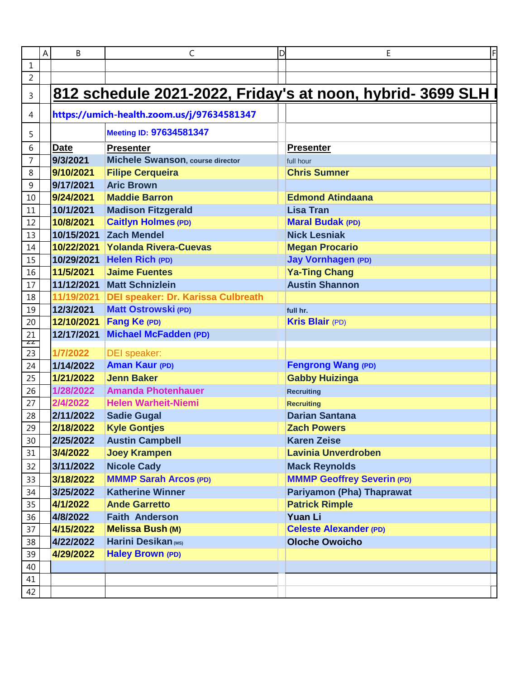|                  | A | B           | C                                          | D<br>Ε                                                     |
|------------------|---|-------------|--------------------------------------------|------------------------------------------------------------|
| $\mathbf 1$      |   |             |                                            |                                                            |
| $\overline{2}$   |   |             |                                            |                                                            |
| 3                |   |             |                                            | 812 schedule 2021-2022, Friday's at noon, hybrid- 3699 SLH |
| 4                |   |             | https://umich-health.zoom.us/j/97634581347 |                                                            |
| 5                |   |             | <b>Meeting ID: 97634581347</b>             |                                                            |
| 6                |   | <b>Date</b> | <b>Presenter</b>                           | <b>Presenter</b>                                           |
| $\overline{7}$   |   | 9/3/2021    | <b>Michele Swanson, course director</b>    | full hour                                                  |
| $\,8\,$          |   | 9/10/2021   | <b>Filipe Cerqueira</b>                    | <b>Chris Sumner</b>                                        |
| $\boldsymbol{9}$ |   | 9/17/2021   | <b>Aric Brown</b>                          |                                                            |
| 10               |   | 9/24/2021   | <b>Maddie Barron</b>                       | <b>Edmond Atindaana</b>                                    |
| $11\,$           |   | 10/1/2021   | <b>Madison Fitzgerald</b>                  | <b>Lisa Tran</b>                                           |
| 12               |   | 10/8/2021   | <b>Caitlyn Holmes (PD)</b>                 | <b>Maral Budak (PD)</b>                                    |
| 13               |   | 10/15/2021  | <b>Zach Mendel</b>                         | <b>Nick Lesniak</b>                                        |
| $14\,$           |   | 10/22/2021  | <b>Yolanda Rivera-Cuevas</b>               | <b>Megan Procario</b>                                      |
| 15               |   | 10/29/2021  | <b>Helen Rich (PD)</b>                     | <b>Jay Vornhagen (PD)</b>                                  |
| 16               |   | 11/5/2021   | <b>Jaime Fuentes</b>                       | <b>Ya-Ting Chang</b>                                       |
| 17               |   | 11/12/2021  | <b>Matt Schnizlein</b>                     | <b>Austin Shannon</b>                                      |
| 18               |   | 11/19/2021  | <b>DEI speaker: Dr. Karissa Culbreath</b>  |                                                            |
| 19               |   | 12/3/2021   | <b>Matt Ostrowski (PD)</b>                 | full hr.                                                   |
| 20               |   | 12/10/2021  | Fang Ke (PD)                               | <b>Kris Blair (PD)</b>                                     |
| 21               |   | 12/17/2021  | <b>Michael McFadden (PD)</b>               |                                                            |
| ZZ<br>23         |   | 1/7/2022    | <b>DEI</b> speaker:                        |                                                            |
| 24               |   | 1/14/2022   | <b>Aman Kaur (PD)</b>                      | <b>Fengrong Wang (PD)</b>                                  |
| 25               |   | 1/21/2022   | <b>Jenn Baker</b>                          | <b>Gabby Huizinga</b>                                      |
| 26               |   | 1/28/2022   | <b>Amanda Photenhauer</b>                  | <b>Recruiting</b>                                          |
| 27               |   | 2/4/2022    | <b>Helen Warheit-Niemi</b>                 | <b>Recruiting</b>                                          |
| 28               |   | 2/11/2022   | <b>Sadie Gugal</b>                         | <b>Darian Santana</b>                                      |
| 29               |   | 2/18/2022   | <b>Kyle Gontjes</b>                        | <b>Zach Powers</b>                                         |
| $30\,$           |   | 2/25/2022   | <b>Austin Campbell</b>                     | <b>Karen Zeise</b>                                         |
| 31               |   | 3/4/2022    | <b>Joey Krampen</b>                        | <b>Lavinia Unverdroben</b>                                 |
| 32               |   | 3/11/2022   | <b>Nicole Cady</b>                         | <b>Mack Reynolds</b>                                       |
|                  |   | 3/18/2022   | <b>MMMP Sarah Arcos (PD)</b>               | <b>MMMP Geoffrey Severin (PD)</b>                          |
| 33               |   | 3/25/2022   | <b>Katherine Winner</b>                    | <b>Pariyamon (Pha) Thaprawat</b>                           |
| 34               |   | 4/1/2022    | <b>Ande Garretto</b>                       | <b>Patrick Rimple</b>                                      |
| 35               |   |             | <b>Faith Anderson</b>                      | <b>Yuan Li</b>                                             |
| 36               |   | 4/8/2022    | <b>Melissa Bush (M)</b>                    | <b>Celeste Alexander (PD)</b>                              |
| 37               |   | 4/15/2022   | Harini Desikan (MS)                        |                                                            |
| 38               |   | 4/22/2022   |                                            | <b>Oloche Owoicho</b>                                      |
| 39               |   | 4/29/2022   | <b>Haley Brown (PD)</b>                    |                                                            |
| 40               |   |             |                                            |                                                            |
| 41<br>42         |   |             |                                            |                                                            |
|                  |   |             |                                            |                                                            |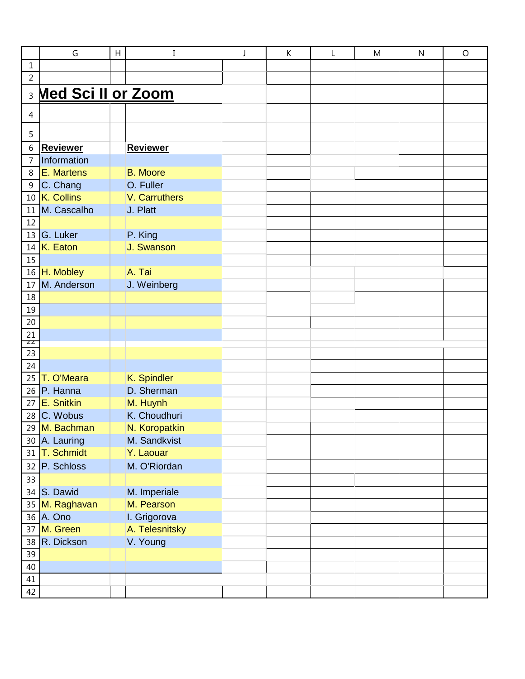|                                                                                                              | G                            | H |                               | К | M | N | $\circ$ |
|--------------------------------------------------------------------------------------------------------------|------------------------------|---|-------------------------------|---|---|---|---------|
| $\mathbf{1}$                                                                                                 |                              |   |                               |   |   |   |         |
| $\overline{2}$                                                                                               |                              |   |                               |   |   |   |         |
|                                                                                                              | <b>B</b> Med Sci II or Zoom  |   |                               |   |   |   |         |
| $\overline{4}$                                                                                               |                              |   |                               |   |   |   |         |
| $\overline{5}$                                                                                               |                              |   |                               |   |   |   |         |
|                                                                                                              | 6 Reviewer                   |   | <b>Reviewer</b>               |   |   |   |         |
| $\overline{7}$                                                                                               | Information                  |   |                               |   |   |   |         |
|                                                                                                              | 8 E. Martens                 |   | <b>B.</b> Moore               |   |   |   |         |
|                                                                                                              | 9 C. Chang                   |   | O. Fuller                     |   |   |   |         |
|                                                                                                              | 10 K. Collins                |   | V. Carruthers                 |   |   |   |         |
|                                                                                                              | 11 M. Cascalho               |   | J. Platt                      |   |   |   |         |
|                                                                                                              |                              |   |                               |   |   |   |         |
|                                                                                                              | 12<br>13 G. Luker            |   | P. King                       |   |   |   |         |
|                                                                                                              | $14$ K. Eaton                |   | J. Swanson                    |   |   |   |         |
|                                                                                                              |                              |   |                               |   |   |   |         |
| $\frac{15}{16}$                                                                                              | H. Mobley                    |   | A. Tai                        |   |   |   |         |
|                                                                                                              | 17 M. Anderson               |   | J. Weinberg                   |   |   |   |         |
|                                                                                                              |                              |   |                               |   |   |   |         |
| $\begin{array}{r} 18 \\ \hline 19 \\ \hline 20 \\ \hline 21 \\ \hline 23 \\ \hline 24 \\ \hline \end{array}$ |                              |   |                               |   |   |   |         |
|                                                                                                              |                              |   |                               |   |   |   |         |
|                                                                                                              |                              |   |                               |   |   |   |         |
|                                                                                                              |                              |   |                               |   |   |   |         |
|                                                                                                              |                              |   |                               |   |   |   |         |
|                                                                                                              |                              |   |                               |   |   |   |         |
| $\overline{25}$                                                                                              | T. O'Meara                   |   | K. Spindler                   |   |   |   |         |
|                                                                                                              | $\overline{26}$ P. Hanna     |   | D. Sherman                    |   |   |   |         |
|                                                                                                              | 27 E. Snitkin                |   | M. Huynh                      |   |   |   |         |
|                                                                                                              | 28 C. Wobus<br>29 M. Bachman |   | K. Choudhuri<br>N. Koropatkin |   |   |   |         |
|                                                                                                              | 30 A. Lauring                |   | M. Sandkvist                  |   |   |   |         |
|                                                                                                              | 31 T. Schmidt                |   | Y. Laouar                     |   |   |   |         |
|                                                                                                              | $32$ P. Schloss              |   | M. O'Riordan                  |   |   |   |         |
|                                                                                                              |                              |   |                               |   |   |   |         |
|                                                                                                              | $\frac{33}{34}$ S. Dawid     |   | M. Imperiale                  |   |   |   |         |
|                                                                                                              | 35 M. Raghavan               |   | M. Pearson                    |   |   |   |         |
|                                                                                                              | 36 A. Ono                    |   | I. Grigorova                  |   |   |   |         |
|                                                                                                              | 37 M. Green                  |   | A. Telesnitsky                |   |   |   |         |
|                                                                                                              | 38 R. Dickson                |   | V. Young                      |   |   |   |         |
|                                                                                                              |                              |   |                               |   |   |   |         |
|                                                                                                              |                              |   |                               |   |   |   |         |
|                                                                                                              |                              |   |                               |   |   |   |         |
| $\frac{39}{40}$<br>$\frac{41}{42}$                                                                           |                              |   |                               |   |   |   |         |
|                                                                                                              |                              |   |                               |   |   |   |         |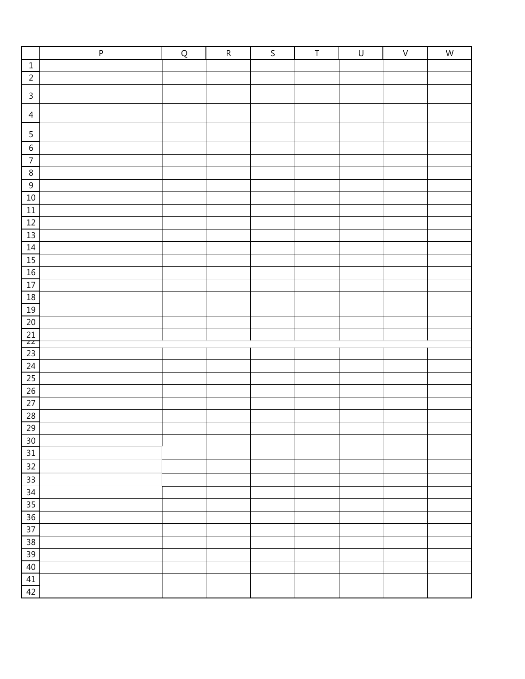|                       | $\sf P$ | Q | ${\sf R}$ | $\mathsf S$ | $\sf T$ | $\cup$ | $\sf V$ | ${\sf W}$ |
|-----------------------|---------|---|-----------|-------------|---------|--------|---------|-----------|
| $1\,$                 |         |   |           |             |         |        |         |           |
| $\overline{2}$        |         |   |           |             |         |        |         |           |
| $\mathsf{3}$          |         |   |           |             |         |        |         |           |
| $\overline{4}$        |         |   |           |             |         |        |         |           |
| $\sqrt{5}$            |         |   |           |             |         |        |         |           |
| $\,$ 6 $\,$           |         |   |           |             |         |        |         |           |
| $\overline{7}$        |         |   |           |             |         |        |         |           |
| $\,8\,$               |         |   |           |             |         |        |         |           |
| $9\,$                 |         |   |           |             |         |        |         |           |
| $10\,$                |         |   |           |             |         |        |         |           |
| $\boxed{11}$          |         |   |           |             |         |        |         |           |
| 12                    |         |   |           |             |         |        |         |           |
| $\frac{13}{1}$        |         |   |           |             |         |        |         |           |
| 14                    |         |   |           |             |         |        |         |           |
| 15                    |         |   |           |             |         |        |         |           |
| $16\,$                |         |   |           |             |         |        |         |           |
| 17                    |         |   |           |             |         |        |         |           |
| <u>18</u>             |         |   |           |             |         |        |         |           |
| <u>19</u>             |         |   |           |             |         |        |         |           |
| $20\,$                |         |   |           |             |         |        |         |           |
| $\overline{21}$<br>ZZ |         |   |           |             |         |        |         |           |
|                       |         |   |           |             |         |        |         |           |
| $\frac{23}{24}$       |         |   |           |             |         |        |         |           |
| 25                    |         |   |           |             |         |        |         |           |
| $\frac{26}{27}$       |         |   |           |             |         |        |         |           |
|                       |         |   |           |             |         |        |         |           |
| 28                    |         |   |           |             |         |        |         |           |
| $\overline{29}$       |         |   |           |             |         |        |         |           |
| $30\,$                |         |   |           |             |         |        |         |           |
| 31                    |         |   |           |             |         |        |         |           |
| 32                    |         |   |           |             |         |        |         |           |
| $\overline{33}$       |         |   |           |             |         |        |         |           |
| $34$                  |         |   |           |             |         |        |         |           |
| 35                    |         |   |           |             |         |        |         |           |
| 36                    |         |   |           |             |         |        |         |           |
| $37\,$                |         |   |           |             |         |        |         |           |
| $38\,$                |         |   |           |             |         |        |         |           |
| 39                    |         |   |           |             |         |        |         |           |
| $40\,$                |         |   |           |             |         |        |         |           |
| 41                    |         |   |           |             |         |        |         |           |
| 42                    |         |   |           |             |         |        |         |           |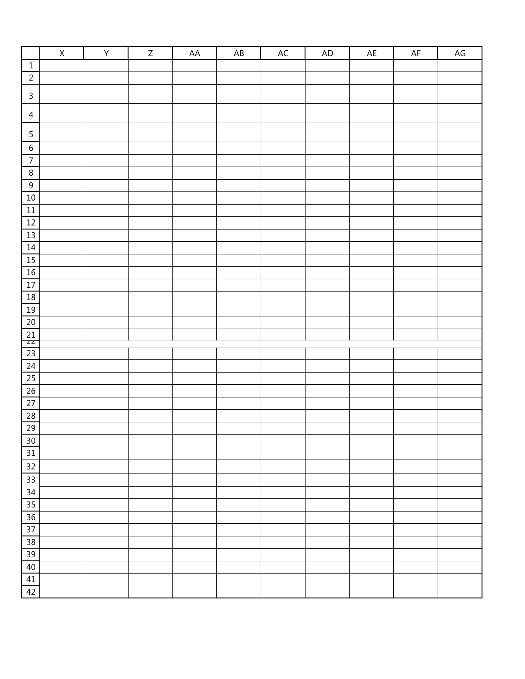|                                                               | $\overline{\mathsf{X}}$ | $\overline{\mathsf{Y}}$ | $\overline{Z}$ | AA | $\mathsf{A}\mathsf{B}$ | AC | AD | $\mathsf{AE}$ | $\mathsf{AF}$ | $AG$ |
|---------------------------------------------------------------|-------------------------|-------------------------|----------------|----|------------------------|----|----|---------------|---------------|------|
| $\,1\,$                                                       |                         |                         |                |    |                        |    |    |               |               |      |
| $\overline{2}$                                                |                         |                         |                |    |                        |    |    |               |               |      |
| $\mathsf{3}$                                                  |                         |                         |                |    |                        |    |    |               |               |      |
| $\overline{a}$                                                |                         |                         |                |    |                        |    |    |               |               |      |
| $\sf 5$                                                       |                         |                         |                |    |                        |    |    |               |               |      |
| $\,$ 6 $\,$                                                   |                         |                         |                |    |                        |    |    |               |               |      |
| $\overline{7}$                                                |                         |                         |                |    |                        |    |    |               |               |      |
| $\overline{8}$                                                |                         |                         |                |    |                        |    |    |               |               |      |
| $\overline{9}$                                                |                         |                         |                |    |                        |    |    |               |               |      |
| $10\,$                                                        |                         |                         |                |    |                        |    |    |               |               |      |
| $\boxed{11}$                                                  |                         |                         |                |    |                        |    |    |               |               |      |
| 12                                                            |                         |                         |                |    |                        |    |    |               |               |      |
| 13                                                            |                         |                         |                |    |                        |    |    |               |               |      |
| 14                                                            |                         |                         |                |    |                        |    |    |               |               |      |
| 15                                                            |                         |                         |                |    |                        |    |    |               |               |      |
| 16                                                            |                         |                         |                |    |                        |    |    |               |               |      |
| $\overline{17}$                                               |                         |                         |                |    |                        |    |    |               |               |      |
| 18                                                            |                         |                         |                |    |                        |    |    |               |               |      |
| 19                                                            |                         |                         |                |    |                        |    |    |               |               |      |
| $\overline{20}$                                               |                         |                         |                |    |                        |    |    |               |               |      |
| $\frac{21}{22}$                                               |                         |                         |                |    |                        |    |    |               |               |      |
|                                                               |                         |                         |                |    |                        |    |    |               |               |      |
| $\frac{23}{24}$                                               |                         |                         |                |    |                        |    |    |               |               |      |
| $\overline{25}$                                               |                         |                         |                |    |                        |    |    |               |               |      |
| $\overline{26}$                                               |                         |                         |                |    |                        |    |    |               |               |      |
| 27                                                            |                         |                         |                |    |                        |    |    |               |               |      |
|                                                               |                         |                         |                |    |                        |    |    |               |               |      |
| $\begin{array}{ c c }\n\hline\n28 \\ \hline\n29\n\end{array}$ |                         |                         |                |    |                        |    |    |               |               |      |
| 30                                                            |                         |                         |                |    |                        |    |    |               |               |      |
| 31                                                            |                         |                         |                |    |                        |    |    |               |               |      |
| 32                                                            |                         |                         |                |    |                        |    |    |               |               |      |
| 33                                                            |                         |                         |                |    |                        |    |    |               |               |      |
| 34                                                            |                         |                         |                |    |                        |    |    |               |               |      |
| $\overline{35}$                                               |                         |                         |                |    |                        |    |    |               |               |      |
| 36                                                            |                         |                         |                |    |                        |    |    |               |               |      |
| $37\,$                                                        |                         |                         |                |    |                        |    |    |               |               |      |
| 38                                                            |                         |                         |                |    |                        |    |    |               |               |      |
| 39                                                            |                         |                         |                |    |                        |    |    |               |               |      |
| 40                                                            |                         |                         |                |    |                        |    |    |               |               |      |
| 41                                                            |                         |                         |                |    |                        |    |    |               |               |      |
| 42                                                            |                         |                         |                |    |                        |    |    |               |               |      |